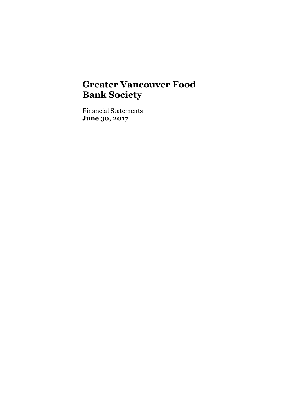Financial Statements **June 30, 2017**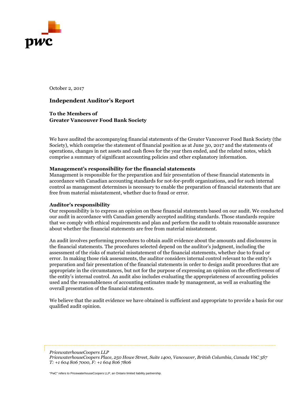

October 2, 2017

#### **Independent Auditor's Report**

**To the Members of Greater Vancouver Food Bank Society**

We have audited the accompanying financial statements of the Greater Vancouver Food Bank Society (the Society), which comprise the statement of financial position as at June 30, 2017 and the statements of operations, changes in net assets and cash flows for the year then ended, and the related notes, which comprise a summary of significant accounting policies and other explanatory information.

#### **Management's responsibility for the financial statements**

Management is responsible for the preparation and fair presentation of these financial statements in accordance with Canadian accounting standards for not-for-profit organizations, and for such internal control as management determines is necessary to enable the preparation of financial statements that are free from material misstatement, whether due to fraud or error.

#### **Auditor's responsibility**

Our responsibility is to express an opinion on these financial statements based on our audit. We conducted our audit in accordance with Canadian generally accepted auditing standards. Those standards require that we comply with ethical requirements and plan and perform the audit to obtain reasonable assurance about whether the financial statements are free from material misstatement.

An audit involves performing procedures to obtain audit evidence about the amounts and disclosures in the financial statements. The procedures selected depend on the auditor's judgment, including the assessment of the risks of material misstatement of the financial statements, whether due to fraud or error. In making those risk assessments, the auditor considers internal control relevant to the entity's preparation and fair presentation of the financial statements in order to design audit procedures that are appropriate in the circumstances, but not for the purpose of expressing an opinion on the effectiveness of the entity's internal control. An audit also includes evaluating the appropriateness of accounting policies used and the reasonableness of accounting estimates made by management, as well as evaluating the overall presentation of the financial statements.

We believe that the audit evidence we have obtained is sufficient and appropriate to provide a basis for our qualified audit opinion.

*PricewaterhouseCoopers LLP PricewaterhouseCoopers Place, 250 Howe Street, Suite 1400, Vancouver, British Columbia, Canada V6C 3S7 T: +1 604 806 7000, F: +1 604 806 7806* 

"PwC" refers to PricewaterhouseCoopers LLP, an Ontario limited liability partnership.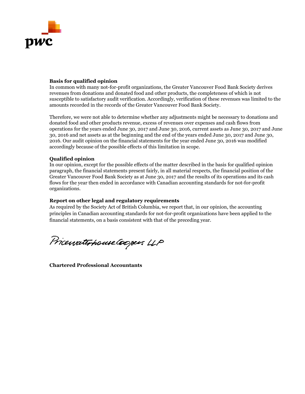

#### **Basis for qualified opinion**

In common with many not-for-profit organizations, the Greater Vancouver Food Bank Society derives revenues from donations and donated food and other products, the completeness of which is not susceptible to satisfactory audit verification. Accordingly, verification of these revenues was limited to the amounts recorded in the records of the Greater Vancouver Food Bank Society.

Therefore, we were not able to determine whether any adjustments might be necessary to donations and donated food and other products revenue, excess of revenues over expenses and cash flows from operations for the years ended June 30, 2017 and June 30, 2016, current assets as June 30, 2017 and June 30, 2016 and net assets as at the beginning and the end of the years ended June 30, 2017 and June 30, 2016. Our audit opinion on the financial statements for the year ended June 30, 2016 was modified accordingly because of the possible effects of this limitation in scope.

#### **Qualified opinion**

In our opinion, except for the possible effects of the matter described in the basis for qualified opinion paragraph, the financial statements present fairly, in all material respects, the financial position of the Greater Vancouver Food Bank Society as at June 30, 2017 and the results of its operations and its cash flows for the year then ended in accordance with Canadian accounting standards for not-for-profit organizations.

#### **Report on other legal and regulatory requirements**

As required by the Society Act of British Columbia, we report that, in our opinion, the accounting principles in Canadian accounting standards for not-for-profit organizations have been applied to the financial statements, on a basis consistent with that of the preceding year.

Pricewaterhouse Coopers LLP

**Chartered Professional Accountants**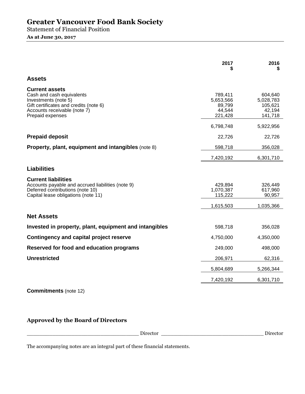Statement of Financial Position

**As at June 30, 2017** 

|                                                                                                                                                                          | 2017                                                | 2016                                                 |
|--------------------------------------------------------------------------------------------------------------------------------------------------------------------------|-----------------------------------------------------|------------------------------------------------------|
| <b>Assets</b>                                                                                                                                                            |                                                     |                                                      |
| <b>Current assets</b><br>Cash and cash equivalents<br>Investments (note 5)<br>Gift certificates and credits (note 6)<br>Accounts receivable (note 7)<br>Prepaid expenses | 789,411<br>5,653,566<br>89,799<br>44,544<br>221,428 | 604,640<br>5,028,783<br>105,621<br>42,194<br>141,718 |
|                                                                                                                                                                          | 6,798,748                                           | 5,922,956                                            |
| <b>Prepaid deposit</b>                                                                                                                                                   | 22,726                                              | 22,726                                               |
| Property, plant, equipment and intangibles (note 8)                                                                                                                      | 598,718                                             | 356,028                                              |
|                                                                                                                                                                          | 7,420,192                                           | 6,301,710                                            |
| <b>Liabilities</b>                                                                                                                                                       |                                                     |                                                      |
| <b>Current liabilities</b><br>Accounts payable and accrued liabilities (note 9)<br>Deferred contributions (note 10)<br>Capital lease obligations (note 11)               | 429,894<br>1,070,387<br>115,222                     | 326,449<br>617,960<br>90,957                         |
|                                                                                                                                                                          | 1,615,503                                           | 1,035,366                                            |
| <b>Net Assets</b>                                                                                                                                                        |                                                     |                                                      |
| Invested in property, plant, equipment and intangibles                                                                                                                   | 598,718                                             | 356,028                                              |
| <b>Contingency and capital project reserve</b>                                                                                                                           | 4,750,000                                           | 4,350,000                                            |
| Reserved for food and education programs                                                                                                                                 | 249,000                                             | 498,000                                              |
| <b>Unrestricted</b>                                                                                                                                                      | 206,971                                             | 62,316                                               |
|                                                                                                                                                                          | 5,804,689                                           | 5,266,344                                            |
|                                                                                                                                                                          | 7,420,192                                           | 6,301,710                                            |
| <b>Commitments</b> (note 12)                                                                                                                                             |                                                     |                                                      |

**Approved by the Board of Directors**

| $\overline{\phantom{a}}$ |  |
|--------------------------|--|
|                          |  |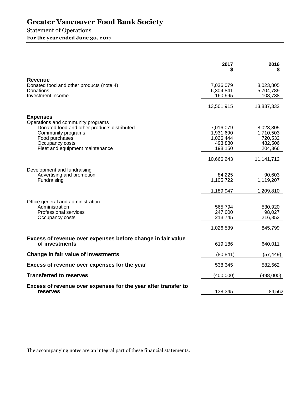# Statement of Operations

**For the year ended June 30, 2017** 

|                                                                                  | 2017                 | 2016<br>S            |
|----------------------------------------------------------------------------------|----------------------|----------------------|
| Revenue                                                                          |                      |                      |
| Donated food and other products (note 4)                                         | 7,036,079            | 8,023,805            |
| Donations<br>Investment income                                                   | 6,304,841<br>160,995 | 5,704,789<br>108,738 |
|                                                                                  |                      |                      |
|                                                                                  | 13,501,915           | 13,837,332           |
| <b>Expenses</b>                                                                  |                      |                      |
| Operations and community programs<br>Donated food and other products distributed | 7,016,079            | 8,023,805            |
| Community programs                                                               | 1,931,690            | 1,710,503            |
| Food purchases                                                                   | 1,026,444            | 720,532              |
| Occupancy costs                                                                  | 493,880              | 482,506              |
| Fleet and equipment maintenance                                                  | 198,150              | 204,366              |
|                                                                                  | 10,666,243           | 11,141,712           |
| Development and fundraising                                                      |                      |                      |
| Advertising and promotion                                                        | 84,225               | 90,603               |
| Fundraising                                                                      | 1,105,722            | 1,119,207            |
|                                                                                  | 1,189,947            | 1,209,810            |
| Office general and administration                                                |                      |                      |
| Administration                                                                   | 565,794              | 530,920              |
| Professional services                                                            | 247,000              | 98,027               |
| Occupancy costs                                                                  | 213,745              | 216,852              |
|                                                                                  | 1,026,539            | 845,799              |
| Excess of revenue over expenses before change in fair value                      |                      |                      |
| of investments                                                                   | 619,186              | 640,011              |
| Change in fair value of investments                                              | (80, 841)            | (57, 449)            |
| Excess of revenue over expenses for the year                                     | 538,345              | 582,562              |
| <b>Transferred to reserves</b>                                                   | (400,000)            | (498,000)            |
| Excess of revenue over expenses for the year after transfer to<br>reserves       | 138,345              | 84,562               |
|                                                                                  |                      |                      |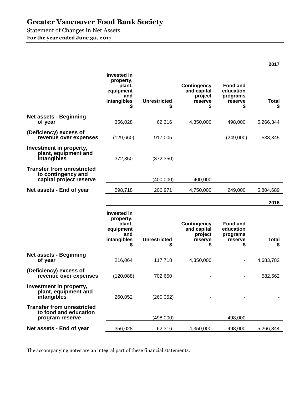Statement of Changes in Net Assets

**For the year ended June 30, 2017** 

|                                                                                    |                                                                                    |                          |                                                               |                                                           | 2017               |
|------------------------------------------------------------------------------------|------------------------------------------------------------------------------------|--------------------------|---------------------------------------------------------------|-----------------------------------------------------------|--------------------|
|                                                                                    | <b>Invested in</b><br>property,<br>plant,<br>equipment<br>and<br>intangibles       | <b>Unrestricted</b><br>S | <b>Contingency</b><br>and capital<br>project<br>reserve<br>S  | <b>Food and</b><br>education<br>programs<br>reserve<br>\$ | <b>Total</b><br>S  |
| <b>Net assets - Beginning</b><br>of year                                           | 356,028                                                                            | 62,316                   | 4,350,000                                                     | 498,000                                                   | 5,266,344          |
| (Deficiency) excess of<br>revenue over expenses                                    | (129,660)                                                                          | 917,005                  |                                                               | (249,000)                                                 | 538,345            |
| Investment in property,<br>plant, equipment and<br>intangibles                     | 372,350                                                                            | (372, 350)               |                                                               |                                                           |                    |
| <b>Transfer from unrestricted</b><br>to contingency and<br>capital project reserve |                                                                                    | (400,000)                | 400,000                                                       |                                                           |                    |
| Net assets - End of year                                                           | 598,718                                                                            | 206,971                  | 4,750,000                                                     | 249,000                                                   | 5,804,689          |
|                                                                                    |                                                                                    |                          |                                                               |                                                           |                    |
|                                                                                    |                                                                                    |                          |                                                               |                                                           | 2016               |
|                                                                                    | <b>Invested in</b><br>property,<br>plant,<br>equipment<br>and<br>intangibles<br>\$ | <b>Unrestricted</b><br>S | <b>Contingency</b><br>and capital<br>project<br>reserve<br>\$ | <b>Food and</b><br>education<br>programs<br>reserve<br>\$ | <b>Total</b><br>\$ |
| <b>Net assets - Beginning</b><br>of year                                           | 216,064                                                                            | 117,718                  | 4,350,000                                                     |                                                           | 4,683,782          |
| (Deficiency) excess of<br>revenue over expenses                                    | (120,088)                                                                          | 702,650                  |                                                               |                                                           | 582,562            |
| Investment in property,<br>plant, equipment and<br>intangibles                     | 260,052                                                                            | (260, 052)               |                                                               |                                                           |                    |
| <b>Transfer from unrestricted</b><br>to food and education<br>program reserve      |                                                                                    | (498,000)                |                                                               | 498,000                                                   |                    |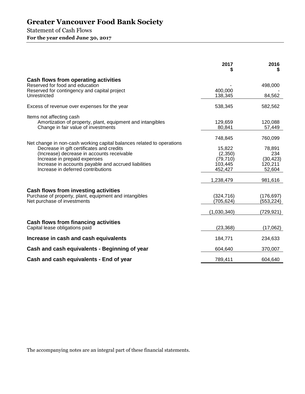# Statement of Cash Flows **For the year ended June 30, 2017**

|                                                                                                                                                                                                                                                                                                | 2017                                                 | 2016                                            |
|------------------------------------------------------------------------------------------------------------------------------------------------------------------------------------------------------------------------------------------------------------------------------------------------|------------------------------------------------------|-------------------------------------------------|
| Cash flows from operating activities<br>Reserved for food and education                                                                                                                                                                                                                        |                                                      | 498,000                                         |
| Reserved for contingency and capital project<br>Unrestricted                                                                                                                                                                                                                                   | 400,000<br>138,345                                   | 84,562                                          |
| Excess of revenue over expenses for the year                                                                                                                                                                                                                                                   | 538,345                                              | 582,562                                         |
| Items not affecting cash<br>Amortization of property, plant, equipment and intangibles<br>Change in fair value of investments                                                                                                                                                                  | 129,659<br>80,841                                    | 120,088<br>57,449                               |
|                                                                                                                                                                                                                                                                                                | 748,845                                              | 760,099                                         |
| Net change in non-cash working capital balances related to operations<br>Decrease in gift certificates and credits<br>(Increase) decrease in accounts receivable<br>Increase in prepaid expenses<br>Increase in accounts payable and accrued liabilities<br>Increase in deferred contributions | 15,822<br>(2,350)<br>(79, 710)<br>103,445<br>452,427 | 78,891<br>234<br>(30, 423)<br>120,211<br>52,604 |
|                                                                                                                                                                                                                                                                                                | 1,238,479                                            | 981,616                                         |
| Cash flows from investing activities<br>Purchase of property, plant, equipment and intangibles<br>Net purchase of investments                                                                                                                                                                  | (324, 716)<br>(705, 624)<br>(1,030,340)              | (176,697)<br>(553, 224)<br>(729,921)            |
| Cash flows from financing activities<br>Capital lease obligations paid                                                                                                                                                                                                                         | (23, 368)                                            | (17,062)                                        |
| Increase in cash and cash equivalents                                                                                                                                                                                                                                                          | 184,771                                              | 234,633                                         |
| Cash and cash equivalents - Beginning of year                                                                                                                                                                                                                                                  | 604,640                                              | 370,007                                         |
| Cash and cash equivalents - End of year                                                                                                                                                                                                                                                        | 789,411                                              | 604,640                                         |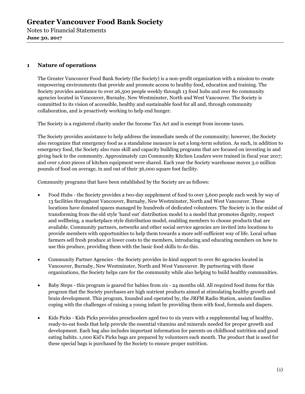Notes to Financial Statements **June 30, 2017** 

## **1 Nature of operations**

The Greater Vancouver Food Bank Society (the Society) is a non-profit organization with a mission to create empowering environments that provide and promote access to healthy food, education and training. The Society provides assistance to over 26,500 people weekly through 13 food hubs and over 80 community agencies located in Vancouver, Burnaby, New Westminster, North and West Vancouver. The Society is committed to its vision of accessible, healthy and sustainable food for all and, through community collaboration, and is proactively working to help end hunger.

The Society is a registered charity under the Income Tax Act and is exempt from income taxes.

The Society provides assistance to help address the immediate needs of the community; however, the Society also recognizes that emergency food as a standalone measure is not a long-term solution. As such, in addition to emergency food, the Society also runs skill and capacity building programs that are focused on investing in and giving back to the community. Approximately 120 Community Kitchen Leaders were trained in fiscal year 2017; and over 1,600 pieces of kitchen equipment were shared. Each year the Society warehouse moves 3.0 million pounds of food on average, in and out of their 36,000 square foot facility.

Community programs that have been established by the Society are as follows:

- Food Hubs the Society provides a two-day supplement of food to over 5,600 people each week by way of 13 facilities throughout Vancouver, Burnaby, New Westminster, North and West Vancouver. These locations have donated spaces managed by hundreds of dedicated volunteers. The Society is in the midst of transforming from the old style 'hand out' distribution model to a model that promotes dignity, respect and wellbeing, a marketplace style distribution model, enabling members to choose products that are available. Community partners, networks and other social service agencies are invited into locations to provide members with opportunities to help them towards a more self-sufficient way of life. Local urban farmers sell fresh produce at lower costs to the members, introducing and educating members on how to use this produce, providing them with the basic food skills to do this.
- Community Partner Agencies the Society provides in-kind support to over 80 agencies located in Vancouver, Burnaby, New Westminster, North and West Vancouver. By partnering with these organizations, the Society helps care for the community while also helping to build healthy communities.
- Baby Steps this program is geared for babies from six 24 months old. All required food items for this program that the Society purchases are high nutrient products aimed at stimulating healthy growth and brain development. This program, founded and operated by, the JRFM Radio Station, assists families coping with the challenges of raising a young infant by providing them with food, formula and diapers.
- Kids Picks Kids Picks provides preschoolers aged two to six years with a supplemental bag of healthy, ready-to-eat foods that help provide the essential vitamins and minerals needed for proper growth and development. Each bag also includes important information for parents on childhood nutrition and good eating habits. 1,000 Kid's Picks bags are prepared by volunteers each month. The product that is used for these special bags is purchased by the Society to ensure proper nutrition.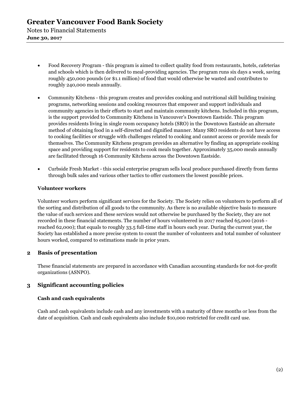- Food Recovery Program this program is aimed to collect quality food from restaurants, hotels, cafeterias and schools which is then delivered to meal-providing agencies. The program runs six days a week, saving roughly 450,000 pounds (or \$1.1 million) of food that would otherwise be wasted and contributes to roughly 240,000 meals annually.
- Community Kitchens this program creates and provides cooking and nutritional skill building training programs, networking sessions and cooking resources that empower and support individuals and community agencies in their efforts to start and maintain community kitchens. Included in this program, is the support provided to Community Kitchens in Vancouver's Downtown Eastside. This program provides residents living in single room occupancy hotels (SRO) in the Downtown Eastside an alternate method of obtaining food in a self-directed and dignified manner. Many SRO residents do not have access to cooking facilities or struggle with challenges related to cooking and cannot access or provide meals for themselves. The Community Kitchens program provides an alternative by finding an appropriate cooking space and providing support for residents to cook meals together. Approximately 35,000 meals annually are facilitated through 16 Community Kitchens across the Downtown Eastside.
- Curbside Fresh Market this social enterprise program sells local produce purchased directly from farms through bulk sales and various other tactics to offer customers the lowest possible prices.

#### **Volunteer workers**

Volunteer workers perform significant services for the Society. The Society relies on volunteers to perform all of the sorting and distribution of all goods to the community. As there is no available objective basis to measure the value of such services and these services would not otherwise be purchased by the Society, they are not recorded in these financial statements. The number of hours volunteered in 2017 reached 65,000 (2016 reached 62,000); that equals to roughly 33.5 full-time staff in hours each year. During the current year, the Society has established a more precise system to count the number of volunteers and total number of volunteer hours worked, compared to estimations made in prior years.

## **2 Basis of presentation**

These financial statements are prepared in accordance with Canadian accounting standards for not-for-profit organizations (ASNPO).

# **3 Significant accounting policies**

### **Cash and cash equivalents**

Cash and cash equivalents include cash and any investments with a maturity of three months or less from the date of acquisition. Cash and cash equivalents also include \$10,000 restricted for credit card use.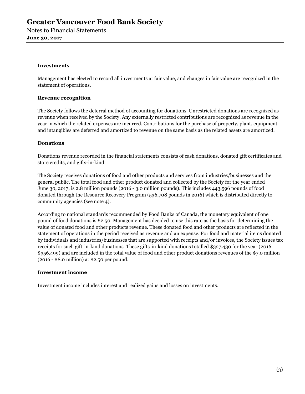Notes to Financial Statements **June 30, 2017** 

#### **Investments**

Management has elected to record all investments at fair value, and changes in fair value are recognized in the statement of operations.

#### **Revenue recognition**

The Society follows the deferral method of accounting for donations. Unrestricted donations are recognized as revenue when received by the Society. Any externally restricted contributions are recognized as revenue in the year in which the related expenses are incurred. Contributions for the purchase of property, plant, equipment and intangibles are deferred and amortized to revenue on the same basis as the related assets are amortized.

#### **Donations**

Donations revenue recorded in the financial statements consists of cash donations, donated gift certificates and store credits, and gifts-in-kind.

The Society receives donations of food and other products and services from industries/businesses and the general public. The total food and other product donated and collected by the Society for the year ended June 30, 2017, is 2.8 million pounds (2016 - 3.0 million pounds). This includes 443,596 pounds of food donated through the Resource Recovery Program (536,708 pounds in 2016) which is distributed directly to community agencies (see note 4).

According to national standards recommended by Food Banks of Canada, the monetary equivalent of one pound of food donations is \$2.50. Management has decided to use this rate as the basis for determining the value of donated food and other products revenue. These donated food and other products are reflected in the statement of operations in the period received as revenue and an expense. For food and material items donated by individuals and industries/businesses that are supported with receipts and/or invoices, the Society issues tax receipts for such gift-in-kind donations. These gifts-in-kind donations totalled \$327,430 for the year (2016 - \$356,499) and are included in the total value of food and other product donations revenues of the \$7.0 million (2016 - \$8.0 million) at \$2.50 per pound.

#### **Investment income**

Investment income includes interest and realized gains and losses on investments.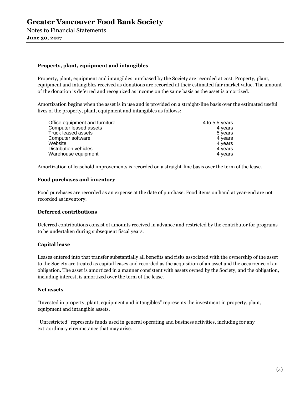Notes to Financial Statements **June 30, 2017** 

#### **Property, plant, equipment and intangibles**

Property, plant, equipment and intangibles purchased by the Society are recorded at cost. Property, plant, equipment and intangibles received as donations are recorded at their estimated fair market value. The amount of the donation is deferred and recognized as income on the same basis as the asset is amortized.

Amortization begins when the asset is in use and is provided on a straight-line basis over the estimated useful lives of the property, plant, equipment and intangibles as follows:

| Office equipment and furniture | 4 to 5.5 years |
|--------------------------------|----------------|
| Computer leased assets         | 4 years        |
| Truck leased assets            | 5 years        |
| Computer software              | 4 years        |
| Website                        | 4 years        |
| Distribution vehicles          | 4 years        |
| Warehouse equipment            | 4 years        |

Amortization of leasehold improvements is recorded on a straight-line basis over the term of the lease.

#### **Food purchases and inventory**

Food purchases are recorded as an expense at the date of purchase. Food items on hand at year-end are not recorded as inventory.

#### **Deferred contributions**

Deferred contributions consist of amounts received in advance and restricted by the contributor for programs to be undertaken during subsequent fiscal years.

#### **Capital lease**

Leases entered into that transfer substantially all benefits and risks associated with the ownership of the asset to the Society are treated as capital leases and recorded as the acquisition of an asset and the occurrence of an obligation. The asset is amortized in a manner consistent with assets owned by the Society, and the obligation, including interest, is amortized over the term of the lease.

#### **Net assets**

"Invested in property, plant, equipment and intangibles" represents the investment in property, plant, equipment and intangible assets.

"Unrestricted" represents funds used in general operating and business activities, including for any extraordinary circumstance that may arise.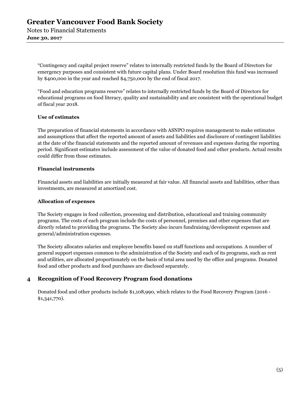Notes to Financial Statements **June 30, 2017** 

> "Contingency and capital project reserve" relates to internally restricted funds by the Board of Directors for emergency purposes and consistent with future capital plans. Under Board resolution this fund was increased by \$400,000 in the year and reached \$4,750,000 by the end of fiscal 2017.

"Food and education programs reserve" relates to internally restricted funds by the Board of Directors for educational programs on food literacy, quality and sustainability and are consistent with the operational budget of fiscal year 2018.

#### **Use of estimates**

The preparation of financial statements in accordance with ASNPO requires management to make estimates and assumptions that affect the reported amount of assets and liabilities and disclosure of contingent liabilities at the date of the financial statements and the reported amount of revenues and expenses during the reporting period. Significant estimates include assessment of the value of donated food and other products. Actual results could differ from those estimates.

#### **Financial instruments**

Financial assets and liabilities are initially measured at fair value. All financial assets and liabilities, other than investments, are measured at amortized cost.

### **Allocation of expenses**

The Society engages in food collection, processing and distribution, educational and training community programs. The costs of each program include the costs of personnel, premises and other expenses that are directly related to providing the programs. The Society also incurs fundraising/development expenses and general/administration expenses.

The Society allocates salaries and employee benefits based on staff functions and occupations. A number of general support expenses common to the administration of the Society and each of its programs, such as rent and utilities, are allocated proportionately on the basis of total area used by the office and programs. Donated food and other products and food purchases are disclosed separately.

# **4 Recognition of Food Recovery Program food donations**

Donated food and other products include \$1,108,990, which relates to the Food Recovery Program (2016 - \$1,341,770).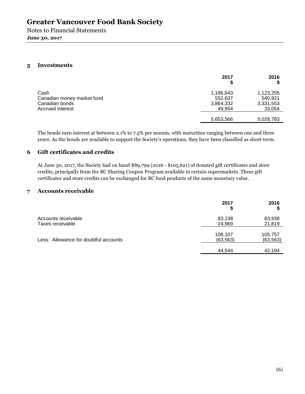Notes to Financial Statements **June 30, 2017** 

### **5 Investments**

|                                                                          | 2017                                        | 2016                                        |
|--------------------------------------------------------------------------|---------------------------------------------|---------------------------------------------|
| Cash<br>Canadian money market fund<br>Canadian bonds<br>Accrued interest | 1,186,643<br>552.637<br>3,864,332<br>49.954 | 1,123,255<br>540,921<br>3,331,553<br>33,054 |
|                                                                          | 5,653,566                                   | 5,028,783                                   |

The bonds earn interest at between 2.1% to 7.5% per annum, with maturities ranging between one and three years. As the bonds are available to support the Society's operations, they have been classified as short-term.

## **6 Gift certificates and credits**

At June 30, 2017, the Society had on hand \$89,799 (2016 - \$105,621) of donated gift certificates and store credits, principally from the BC Sharing Coupon Program available in certain supermarkets. These gift certificates and store credits can be exchanged for BC food products of the same monetary value.

#### **7 Accounts receivable**

|                                         | 2017                 | 2016                 |
|-----------------------------------------|----------------------|----------------------|
| Accounts receivable<br>Taxes receivable | 83,138<br>24,969     | 83,938<br>21,819     |
| Less: Allowance for doubtful accounts   | 108,107<br>(63, 563) | 105,757<br>(63, 563) |
|                                         | 44,544               | 42,194               |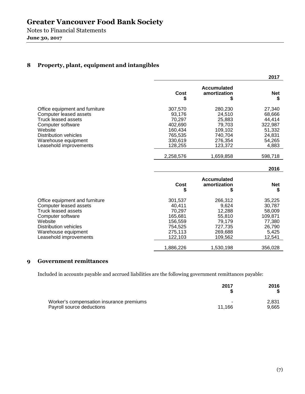Notes to Financial Statements **June 30, 2017** 

# **8 Property, plant, equipment and intangibles**

|                                                                                                                                                                                                  |                                                                                    |                                                                                   | 2017                                                                         |
|--------------------------------------------------------------------------------------------------------------------------------------------------------------------------------------------------|------------------------------------------------------------------------------------|-----------------------------------------------------------------------------------|------------------------------------------------------------------------------|
|                                                                                                                                                                                                  | Cost<br>\$                                                                         | <b>Accumulated</b><br>amortization<br>\$                                          | <b>Net</b><br>\$                                                             |
| Office equipment and furniture<br>Computer leased assets<br>Truck leased assets<br>Computer software<br>Website<br>Distribution vehicles<br>Warehouse equipment<br>Leasehold improvements        | 307,570<br>93,176<br>70,297<br>402,690<br>160.434<br>765,535<br>330,619<br>128,255 | 280,230<br>24,510<br>25,883<br>79,703<br>109,102<br>740,704<br>276,354<br>123,372 | 27,340<br>68,666<br>44,414<br>322,987<br>51,332<br>24,831<br>54,265<br>4,883 |
|                                                                                                                                                                                                  | 2,258,576                                                                          | 1,659,858                                                                         | 598,718                                                                      |
|                                                                                                                                                                                                  |                                                                                    |                                                                                   | 2016                                                                         |
|                                                                                                                                                                                                  | <b>Cost</b><br>S                                                                   | <b>Accumulated</b><br>amortization<br>S                                           | <b>Net</b><br>\$                                                             |
| Office equipment and furniture<br>Computer leased assets<br><b>Truck leased assets</b><br>Computer software<br>Website<br>Distribution vehicles<br>Warehouse equipment<br>Leasehold improvements | 301,537<br>40.411<br>70,297<br>165,681<br>156,559<br>754,525<br>275,113<br>122,103 | 266,312<br>9,624<br>12,288<br>55,810<br>79,179<br>727,735<br>269,688<br>109,562   | 35,225<br>30,787<br>58,009<br>109,871<br>77,380<br>26,790<br>5,425<br>12,541 |
|                                                                                                                                                                                                  |                                                                                    |                                                                                   |                                                                              |

# **9 Government remittances**

Included in accounts payable and accrued liabilities are the following government remittances payable:

|                                          | 2017   | 2016  |
|------------------------------------------|--------|-------|
| Worker's compensation insurance premiums |        | 2.831 |
| Payroll source deductions                | 11.166 | 9,665 |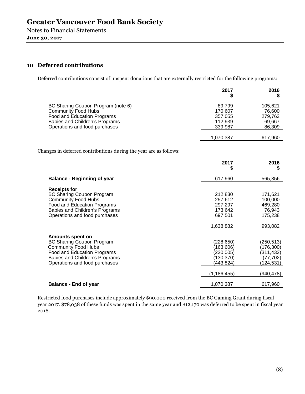Notes to Financial Statements **June 30, 2017** 

## **10 Deferred contributions**

Deferred contributions consist of unspent donations that are externally restricted for the following programs:

|                                                                                                                                                                                         | 2017<br>\$                                                                         | 2016<br>S                                                                       |
|-----------------------------------------------------------------------------------------------------------------------------------------------------------------------------------------|------------------------------------------------------------------------------------|---------------------------------------------------------------------------------|
| BC Sharing Coupon Program (note 6)<br><b>Community Food Hubs</b><br>Food and Education Programs<br>Babies and Children's Programs<br>Operations and food purchases                      | 89,799<br>170,607<br>357,055<br>112,939<br>339,987                                 | 105,621<br>76,600<br>279,763<br>69,667<br>86,309                                |
|                                                                                                                                                                                         | 1,070,387                                                                          | 617,960                                                                         |
| Changes in deferred contributions during the year are as follows:                                                                                                                       |                                                                                    |                                                                                 |
|                                                                                                                                                                                         | 2017<br>S                                                                          | 2016<br>S                                                                       |
| <b>Balance - Beginning of year</b>                                                                                                                                                      | 617,960                                                                            | 565,356                                                                         |
| <b>Receipts for</b><br><b>BC Sharing Coupon Program</b><br><b>Community Food Hubs</b><br>Food and Education Programs<br>Babies and Children's Programs<br>Operations and food purchases | 212,830<br>257,612<br>297,297<br>173,642<br>697,501<br>1,638,882                   | 171,621<br>100,000<br>469,280<br>76,943<br>175,238<br>993,082                   |
| Amounts spent on<br><b>BC Sharing Coupon Program</b><br><b>Community Food Hubs</b><br>Food and Education Programs<br>Babies and Children's Programs<br>Operations and food purchases    | (228, 650)<br>(163,606)<br>(220, 005)<br>(130, 370)<br>(443, 824)<br>(1, 186, 455) | (250, 513)<br>(176, 300)<br>(311, 432)<br>(77, 702)<br>(124, 531)<br>(940, 478) |
| <b>Balance - End of year</b>                                                                                                                                                            | 1,070,387                                                                          | 617,960                                                                         |

Restricted food purchases include approximately \$90,000 received from the BC Gaming Grant during fiscal year 2017. \$78,038 of these funds was spent in the same year and \$12,170 was deferred to be spent in fiscal year 2018.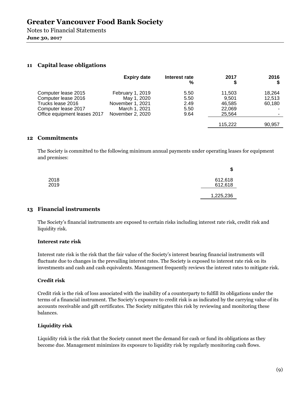Notes to Financial Statements **June 30, 2017** 

### **11 Capital lease obligations**

|                              | <b>Expiry date</b> | Interest rate<br>% | 2017    | 2016   |
|------------------------------|--------------------|--------------------|---------|--------|
| Computer lease 2015          | February 1, 2019   | 5.50               | 11,503  | 18,264 |
| Computer lease 2016          | May 1, 2020        | 5.50               | 9.501   | 12,513 |
| Trucks lease 2016            | November 1, 2021   | 2.49               | 46,585  | 60,180 |
| Computer lease 2017          | March 1, 2021      | 5.50               | 22,069  |        |
| Office equipment leases 2017 | November 2, 2020   | 9.64               | 25,564  |        |
|                              |                    |                    | 115.222 | 90,957 |

#### **12 Commitments**

The Society is committed to the following minimum annual payments under operating leases for equipment and premises:

|      | \$        |
|------|-----------|
| 2018 | 612,618   |
| 2019 | 612,618   |
|      | 1,225,236 |

### **13 Financial instruments**

The Society's financial instruments are exposed to certain risks including interest rate risk, credit risk and liquidity risk.

#### **Interest rate risk**

Interest rate risk is the risk that the fair value of the Society's interest bearing financial instruments will fluctuate due to changes in the prevailing interest rates. The Society is exposed to interest rate risk on its investments and cash and cash equivalents. Management frequently reviews the interest rates to mitigate risk.

#### **Credit risk**

Credit risk is the risk of loss associated with the inability of a counterparty to fulfill its obligations under the terms of a financial instrument. The Society's exposure to credit risk is as indicated by the carrying value of its accounts receivable and gift certificates. The Society mitigates this risk by reviewing and monitoring these balances.

#### **Liquidity risk**

Liquidity risk is the risk that the Society cannot meet the demand for cash or fund its obligations as they become due. Management minimizes its exposure to liquidity risk by regularly monitoring cash flows.